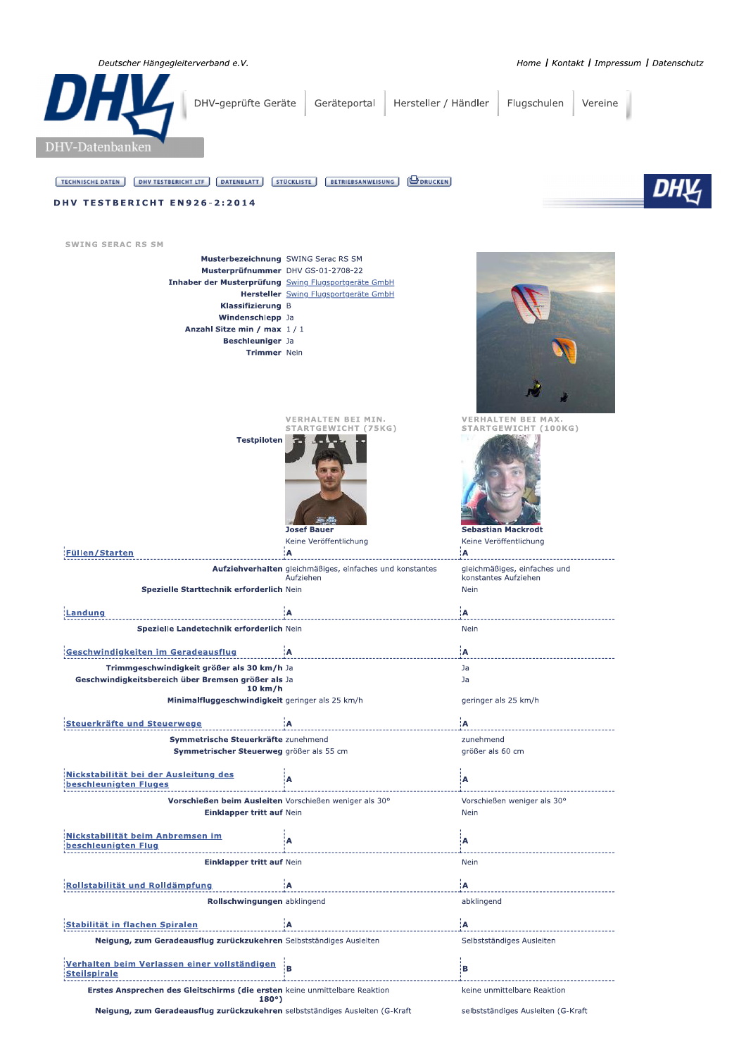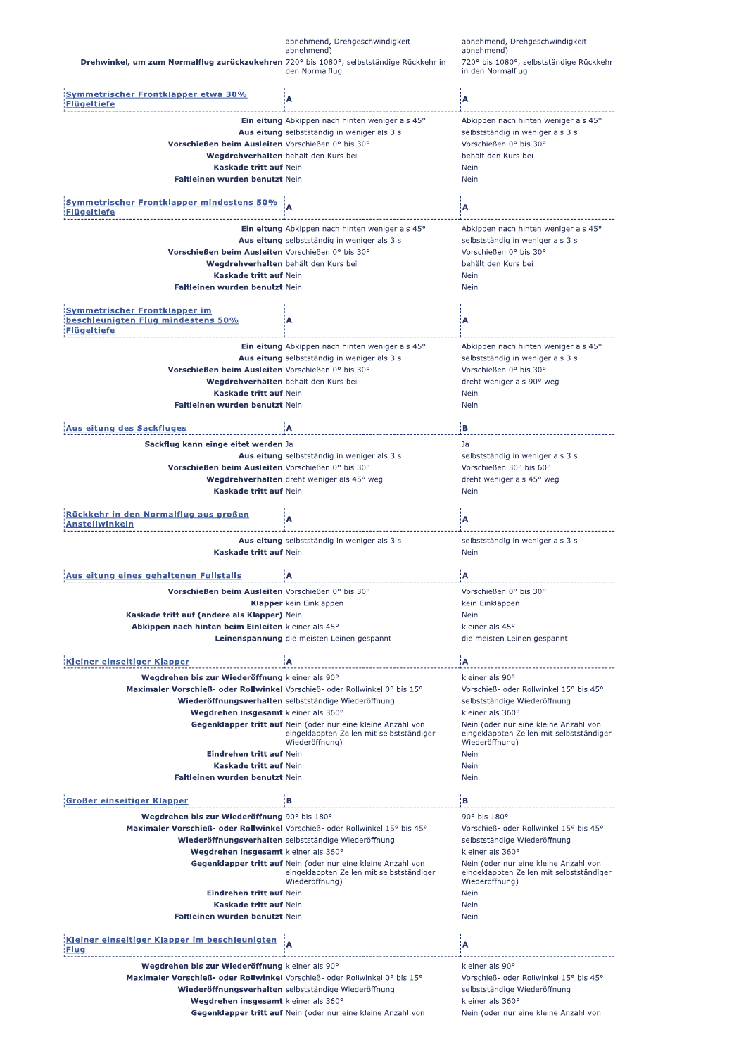|                                                                                                                               | abnehmend, Drehgeschwindigkeit<br>abnehmend)                                                                               | abnehmend, Drehgeschwindigkeit<br>abnehmend)                                                        |
|-------------------------------------------------------------------------------------------------------------------------------|----------------------------------------------------------------------------------------------------------------------------|-----------------------------------------------------------------------------------------------------|
| Drehwinkel, um zum Normalflug zurückzukehren 720° bis 1080°, selbstständige Rückkehr in                                       | den Normalflug                                                                                                             | 720° bis 1080°, selbstständige Rückkehr<br>in den Normalflug                                        |
| <u>Symmetrischer Frontklapper etwa 30%</u><br>lügeltiefe                                                                      | A                                                                                                                          | ïΑ                                                                                                  |
|                                                                                                                               | Einleitung Abkippen nach hinten weniger als 45°                                                                            | Abkippen nach hinten weniger als 45°                                                                |
|                                                                                                                               | Ausleitung selbstständig in weniger als 3 s                                                                                | selbstständig in weniger als 3 s                                                                    |
| Vorschießen beim Ausleiten Vorschießen 0° bis 30°                                                                             |                                                                                                                            | Vorschießen 0° bis 30°                                                                              |
| Wegdrehverhalten behält den Kurs bei                                                                                          |                                                                                                                            | behält den Kurs bei                                                                                 |
| Kaskade tritt auf Nein<br>Faltleinen wurden benutzt Nein                                                                      |                                                                                                                            | Nein<br>Nein                                                                                        |
|                                                                                                                               |                                                                                                                            |                                                                                                     |
| <b>Symmetrischer Frontklapper mindestens 50%</b><br>Flügeltiefe                                                               |                                                                                                                            | įΑ                                                                                                  |
|                                                                                                                               | Einleitung Abkippen nach hinten weniger als 45°                                                                            | Abkippen nach hinten weniger als 45°                                                                |
|                                                                                                                               | Ausleitung selbstständig in weniger als 3 s                                                                                | selbstständig in weniger als 3 s                                                                    |
| Vorschießen beim Ausleiten Vorschießen 0° bis 30°<br>Wegdrehverhalten behält den Kurs bei                                     |                                                                                                                            | Vorschießen 0° bis 30°<br>behält den Kurs bei                                                       |
| Kaskade tritt auf Nein                                                                                                        |                                                                                                                            | Nein                                                                                                |
| Faltleinen wurden benutzt Nein                                                                                                |                                                                                                                            | Nein                                                                                                |
|                                                                                                                               |                                                                                                                            |                                                                                                     |
| <b>Symmetrischer Frontklapper im</b><br>beschleunigten Flug mindestens 50%<br><b>Flügeltiefe</b>                              | A                                                                                                                          | Α                                                                                                   |
|                                                                                                                               | Einleitung Abkippen nach hinten weniger als 45°                                                                            | Abkippen nach hinten weniger als 45°                                                                |
|                                                                                                                               | Ausleitung selbstständig in weniger als 3 s                                                                                | selbstständig in weniger als 3 s                                                                    |
| Vorschießen beim Ausleiten Vorschießen 0° bis 30°                                                                             |                                                                                                                            | Vorschießen 0° bis 30°                                                                              |
| Wegdrehverhalten behält den Kurs bei<br>Kaskade tritt auf Nein                                                                |                                                                                                                            | dreht weniger als 90° weg<br>Nein                                                                   |
| Faltleinen wurden benutzt Nein                                                                                                |                                                                                                                            | Nein                                                                                                |
|                                                                                                                               |                                                                                                                            |                                                                                                     |
| <b>Ausleitung des Sackfluges</b>                                                                                              | Α                                                                                                                          | ¦B                                                                                                  |
| Sackflug kann eingeleitet werden Ja                                                                                           |                                                                                                                            | Ja                                                                                                  |
| Vorschießen beim Ausleiten Vorschießen 0° bis 30°                                                                             | Ausleitung selbstständig in weniger als 3 s                                                                                | selbstständig in weniger als 3 s<br>Vorschießen 30° bis 60°                                         |
|                                                                                                                               | Wegdrehverhalten dreht weniger als 45° weg                                                                                 | dreht weniger als 45° weg                                                                           |
| Kaskade tritt auf Nein                                                                                                        |                                                                                                                            | Nein                                                                                                |
| <u>Rückkehr in den Normalflug aus großen</u><br>าstellwinkeln                                                                 | А                                                                                                                          | Α                                                                                                   |
|                                                                                                                               |                                                                                                                            |                                                                                                     |
|                                                                                                                               |                                                                                                                            |                                                                                                     |
| Kaskade tritt auf Nein                                                                                                        | Ausleitung selbstständig in weniger als 3 s                                                                                | selbstständig in weniger als 3 s<br>Nein                                                            |
|                                                                                                                               |                                                                                                                            |                                                                                                     |
| Ausleitung eines gehaltenen Fullstalls                                                                                        | A                                                                                                                          | Α                                                                                                   |
| Vorschießen beim Ausleiten Vorschießen 0° bis 30°                                                                             |                                                                                                                            | Vorschießen 0° bis 30°                                                                              |
| Kaskade tritt auf (andere als Klapper) Nein                                                                                   | <b>Klapper</b> kein Einklappen                                                                                             | kein Einklappen<br>Nein                                                                             |
| Abkippen nach hinten beim Einleiten kleiner als 45°                                                                           |                                                                                                                            | kleiner als 45°                                                                                     |
|                                                                                                                               | Leinenspannung die meisten Leinen gespannt                                                                                 | die meisten Leinen gespannt                                                                         |
|                                                                                                                               | ۱A                                                                                                                         |                                                                                                     |
| <u>Kleiner einseitiger Klapper</u>                                                                                            |                                                                                                                            | ¦A<br>kleiner als 90°                                                                               |
| Wegdrehen bis zur Wiederöffnung kleiner als 90°<br>Maximaler Vorschieß- oder Rollwinkel Vorschieß- oder Rollwinkel 0° bis 15° |                                                                                                                            | Vorschieß- oder Rollwinkel 15° bis 45°                                                              |
|                                                                                                                               | Wiederöffnungsverhalten selbstständige Wiederöffnung                                                                       | selbstständige Wiederöffnung                                                                        |
| Wegdrehen insgesamt kleiner als 360°                                                                                          |                                                                                                                            | kleiner als 360°                                                                                    |
|                                                                                                                               | Gegenklapper tritt auf Nein (oder nur eine kleine Anzahl von<br>eingeklappten Zellen mit selbstständiger<br>Wiederöffnung) | Nein (oder nur eine kleine Anzahl von<br>eingeklappten Zellen mit selbstständiger<br>Wiederöffnung) |
| Eindrehen tritt auf Nein                                                                                                      |                                                                                                                            | Nein                                                                                                |
| Kaskade tritt auf Nein<br><b>Faltleinen wurden benutzt Nein</b>                                                               |                                                                                                                            | Nein<br>Nein                                                                                        |
| Großer einseitiger Klapper                                                                                                    | ١В                                                                                                                         | ¦B                                                                                                  |
| Wegdrehen bis zur Wiederöffnung 90° bis 180°                                                                                  |                                                                                                                            | 90° bis 180°                                                                                        |
| Maximaler Vorschieß- oder Rollwinkel Vorschieß- oder Rollwinkel 15° bis 45°                                                   |                                                                                                                            | Vorschieß- oder Rollwinkel 15° bis 45°                                                              |
|                                                                                                                               | Wiederöffnungsverhalten selbstständige Wiederöffnung                                                                       | selbstständige Wiederöffnung                                                                        |
| Wegdrehen insgesamt kleiner als 360°                                                                                          | Gegenklapper tritt auf Nein (oder nur eine kleine Anzahl von                                                               | kleiner als 360°<br>Nein (oder nur eine kleine Anzahl von                                           |
|                                                                                                                               | eingeklappten Zellen mit selbstständiger                                                                                   | eingeklappten Zellen mit selbstständiger                                                            |
|                                                                                                                               | Wiederöffnung)                                                                                                             | Wiederöffnung)                                                                                      |
| Eindrehen tritt auf Nein<br>Kaskade tritt auf Nein                                                                            |                                                                                                                            | Nein<br>Nein                                                                                        |
| Faltleinen wurden benutzt Nein                                                                                                |                                                                                                                            | Nein                                                                                                |
|                                                                                                                               |                                                                                                                            |                                                                                                     |
| Kleiner einseitiger Klapper im beschleunigten<br>Flug                                                                         | A                                                                                                                          | ίA                                                                                                  |
| Wegdrehen bis zur Wiederöffnung kleiner als 90°                                                                               |                                                                                                                            | kleiner als 90°                                                                                     |
| Maximaler Vorschieß- oder Rollwinkel Vorschieß- oder Rollwinkel 0° bis 15°                                                    |                                                                                                                            | Vorschieß- oder Rollwinkel 15° bis 45°                                                              |
|                                                                                                                               | Wiederöffnungsverhalten selbstständige Wiederöffnung                                                                       | selbstständige Wiederöffnung                                                                        |
| Wegdrehen insgesamt kleiner als 360°                                                                                          | Gegenklapper tritt auf Nein (oder nur eine kleine Anzahl von                                                               | kleiner als 360°<br>Nein (oder nur eine kleine Anzahl von                                           |